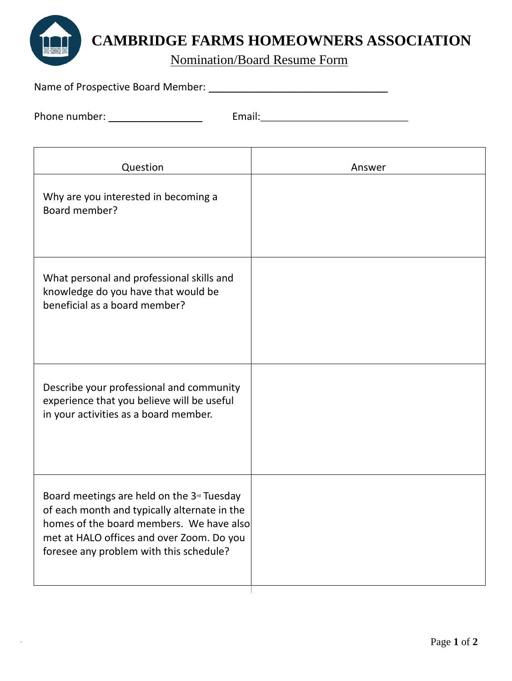

## **CAMBRIDGE FARMS HOMEOWNERS ASSOCIATION**

Nomination/Board Resume Form

| Name of Prospective Board Member: |  |
|-----------------------------------|--|
|                                   |  |

Phone number: \_\_\_\_\_\_\_\_\_\_\_ Email:\_\_\_\_\_\_\_\_\_\_\_\_\_\_\_\_\_\_\_\_\_\_\_\_\_\_

| Question                                                                                                                                                                                                                                   | Answer |
|--------------------------------------------------------------------------------------------------------------------------------------------------------------------------------------------------------------------------------------------|--------|
| Why are you interested in becoming a<br>Board member?                                                                                                                                                                                      |        |
| What personal and professional skills and<br>knowledge do you have that would be<br>beneficial as a board member?                                                                                                                          |        |
| Describe your professional and community<br>experience that you believe will be useful<br>in your activities as a board member.                                                                                                            |        |
| Board meetings are held on the 3 <sup>rd</sup> Tuesday<br>of each month and typically alternate in the<br>homes of the board members. We have also<br>met at HALO offices and over Zoom. Do you<br>foresee any problem with this schedule? |        |